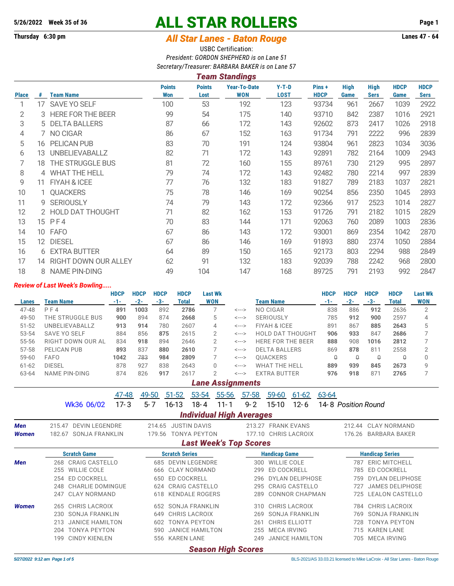# **5/26/2022 Week 35 of 36 ALL STAR ROLLERS Page 1**

## **Thursday 6:30 pm** *All Star Lanes - Baton Rouge* **Lanes 47 - 64**

USBC Certification: *President: GORDON SHEPHERD is on Lane 51 Secretary/Treasurer: BARBARA BAKER is on Lane 57 Team Standings*

|              | n cann o tanannyo |                             |                             |                       |                                   |                        |                      |                     |                            |                     |                            |  |  |  |
|--------------|-------------------|-----------------------------|-----------------------------|-----------------------|-----------------------------------|------------------------|----------------------|---------------------|----------------------------|---------------------|----------------------------|--|--|--|
| <b>Place</b> | #                 | <b>Team Name</b>            | <b>Points</b><br><b>Won</b> | <b>Points</b><br>Lost | <b>Year-To-Date</b><br><b>WON</b> | $Y-T-D$<br><b>LOST</b> | Pins+<br><b>HDCP</b> | <b>High</b><br>Game | <b>High</b><br><b>Sers</b> | <b>HDCP</b><br>Game | <b>HDCP</b><br><b>Sers</b> |  |  |  |
| 1            | 17                | <b>SAVE YO SELF</b>         | 100                         | 53                    | 192                               | 123                    | 93734                | 961                 | 2667                       | 1039                | 2922                       |  |  |  |
| 2            |                   | 3 HERE FOR THE BEER         | 99                          | 54                    | 175                               | 140                    | 93710                | 842                 | 2387                       | 1016                | 2921                       |  |  |  |
| 3            | 5                 | <b>DELTA BALLERS</b>        | 87                          | 66                    | 172                               | 143                    | 92602                | 873                 | 2417                       | 1026                | 2918                       |  |  |  |
| 4            |                   | 7 NO CIGAR                  | 86                          | 67                    | 152                               | 163                    | 91734                | 791                 | 2222                       | 996                 | 2839                       |  |  |  |
| 5            | 16                | <b>PELICAN PUB</b>          | 83                          | 70                    | 191                               | 124                    | 93804                | 961                 | 2823                       | 1034                | 3036                       |  |  |  |
| 6            | 13                | UNBELIEVABALLZ              | 82                          | 71                    | 172                               | 143                    | 92891                | 782                 | 2164                       | 1009                | 2943                       |  |  |  |
| 7            | 18                | THE STRUGGLE BUS            | 81                          | 72                    | 160                               | 155                    | 89761                | 730                 | 2129                       | 995                 | 2897                       |  |  |  |
| 8            |                   | 4 WHAT THE HELL             | 79                          | 74                    | 172                               | 143                    | 92482                | 780                 | 2214                       | 997                 | 2839                       |  |  |  |
| 9            | 11                | FIYAH & ICEE                | 77                          | 76                    | 132                               | 183                    | 91827                | 789                 | 2183                       | 1037                | 2821                       |  |  |  |
| 10           |                   | 1 QUACKERS                  | 75                          | 78                    | 146                               | 169                    | 90254                | 856                 | 2350                       | 1045                | 2893                       |  |  |  |
| 11           |                   | 9 SERIOUSLY                 | 74                          | 79                    | 143                               | 172                    | 92366                | 917                 | 2523                       | 1014                | 2827                       |  |  |  |
| 12           |                   | 2 HOLD DAT THOUGHT          | 71                          | 82                    | 162                               | 153                    | 91726                | 791                 | 2182                       | 1015                | 2829                       |  |  |  |
| 13           |                   | 15 PF4                      | 70                          | 83                    | 144                               | 171                    | 92063                | 760                 | 2089                       | 1003                | 2836                       |  |  |  |
| 14           | 10                | <b>FAFO</b>                 | 67                          | 86                    | 143                               | 172                    | 93001                | 869                 | 2354                       | 1042                | 2870                       |  |  |  |
| 15           | 12                | <b>DIESEL</b>               | 67                          | 86                    | 146                               | 169                    | 91893                | 880                 | 2374                       | 1050                | 2884                       |  |  |  |
| 16           |                   | 6 EXTRA BUTTER              | 64                          | 89                    | 150                               | 165                    | 92173                | 803                 | 2294                       | 988                 | 2849                       |  |  |  |
| 17           | 14                | <b>RIGHT DOWN OUR ALLEY</b> | 62                          | 91                    | 132                               | 183                    | 92039                | 788                 | 2242                       | 968                 | 2800                       |  |  |  |
| 18           |                   | 8 NAME PIN-DING             | 49                          | 104                   | 147                               | 168                    | 89725                | 791                 | 2193                       | 992                 | 2847                       |  |  |  |

### *Review of Last Week's Bowling.....*

|                         | Review of Last Week's Dowling         |             |             |             |                                           |                |                                 |                   |            |                                         |                         |             |                     |                        |                        |                |
|-------------------------|---------------------------------------|-------------|-------------|-------------|-------------------------------------------|----------------|---------------------------------|-------------------|------------|-----------------------------------------|-------------------------|-------------|---------------------|------------------------|------------------------|----------------|
|                         |                                       | <b>HDCP</b> | <b>HDCP</b> | <b>HDCP</b> | <b>HDCP</b>                               | <b>Last Wk</b> |                                 |                   |            |                                         |                         | <b>HDCP</b> | <b>HDCP</b>         | <b>HDCP</b>            | <b>HDCP</b>            | <b>Last Wk</b> |
| Lanes                   | <b>Team Name</b>                      | $-1-$       | $-2-$       | $-3-$       | <b>Total</b>                              | <b>WON</b>     |                                 |                   |            | <b>Team Name</b>                        |                         | $-1-$       | $-2-$               | $-3-$                  | <b>Total</b>           | <b>WON</b>     |
| 47-48                   | $P$ F4                                | 891         | 1003        | 892         | 2786                                      |                | 7                               | $\leftarrow$ ---> |            | NO CIGAR                                |                         | 838         | 886                 | 912                    | 2636                   | $\overline{2}$ |
| 49-50                   | THE STRUGGLE BUS                      | 900         | 894         | 874         | 2668                                      |                | 5                               | <--->             |            | <b>SERIOUSLY</b>                        |                         | 785         | 912                 | 900                    | 2597                   | 4              |
| $51 - 52$               | UNBELIEVABALLZ                        | 913         | 914         | 780         | 2607                                      |                | 4                               | $\leftarrow$ ---> |            | FIYAH & ICEE                            |                         | 891         | 867                 | 885                    | 2643                   | 5              |
| 53-54                   | <b>SAVE YO SELF</b>                   | 884         | 856         | 875         | 2615                                      |                | $\overline{2}$                  | <--->             |            |                                         | <b>HOLD DAT THOUGHT</b> | 906         | 933                 | 847                    | 2686                   | 7              |
| 55-56                   | RIGHT DOWN OUR AL                     | 834         | 918         | 894         | 2646                                      |                | $\overline{2}$                  | <--->             |            |                                         | HERE FOR THE BEER       | 888         | 908                 | 1016                   | 2812                   | 7              |
| 57-58                   | PELICAN PUB                           | 893         | 837         | 880         | 2610                                      |                | 7                               | <--->             |            | <b>DELTA BALLERS</b>                    |                         | 869         | 878                 | 811                    | 2558                   | $\overline{2}$ |
| 59-60                   | <b>FAFO</b>                           | 1042        | 783         | 984         | 2809                                      |                | 7                               | $\leftarrow$ ---> |            | QUACKERS                                |                         | $\theta$    | $\theta$            | $\theta$               | $\Omega$               | $\mathbf{0}$   |
| $61 - 62$               | <b>DIESEL</b>                         | 878         | 927         | 838         | 2643                                      |                | $\Omega$                        | <--->             |            | <b>WHAT THE HELL</b>                    |                         | 889         | 939                 | 845                    | 2673                   | 9              |
| 63-64                   | <b>NAME PIN-DING</b>                  | 874         | 826         | 917         | 2617                                      |                | $\overline{2}$                  | <--->             |            | <b>EXTRA BUTTER</b>                     |                         | 976         | 918                 | 871                    | 2765                   | 7              |
| <b>Lane Assignments</b> |                                       |             |             |             |                                           |                |                                 |                   |            |                                         |                         |             |                     |                        |                        |                |
|                         |                                       | 47-48       |             | 49-50       | $51 - 52$                                 | 53-54          | 55-56                           | $57 - 58$         |            | 59-60                                   | $61 - 62$               | 63-64       |                     |                        |                        |                |
|                         | Wk36 06/02                            | $17 - 3$    |             | $5 - 7$     | $16 - 13$                                 | $18 - 4$       | $11 - 1$                        | $9 - 2$           |            | $15 - 10$                               | $12 - 6$                |             | 14-8 Position Round |                        |                        |                |
|                         |                                       |             |             |             |                                           |                | <b>Individual High Averages</b> |                   |            |                                         |                         |             |                     |                        |                        |                |
| <b>Men</b>              | 215.47 DEVIN LEGENDRE                 |             |             |             | 214.65 JUSTIN DAVIS                       |                |                                 |                   |            |                                         | 213.27 FRANK EVANS      |             |                     |                        | 212.44 CLAY NORMAND    |                |
| <b>Women</b>            | 182.67 SONJA FRANKLIN                 |             |             |             | 179.56 TONYA PEYTON                       |                |                                 |                   |            |                                         | 177.10 CHRIS LACROIX    |             | 176.26              |                        | <b>BARBARA BAKER</b>   |                |
|                         |                                       |             |             |             |                                           |                | <b>Last Week's Top Scores</b>   |                   |            |                                         |                         |             |                     |                        |                        |                |
|                         | <b>Scratch Game</b>                   |             |             |             | <b>Scratch Series</b>                     |                |                                 |                   |            |                                         |                         |             |                     | <b>Handicap Series</b> |                        |                |
|                         | 268 CRAIG CASTELLO                    |             |             |             |                                           |                |                                 |                   |            | <b>Handicap Game</b><br>300 WILLIE COLE |                         |             |                     |                        | 787 ERIC MITCHELL      |                |
| <b>Men</b>              | <b>WILLIE COLE</b><br>255             |             |             | 666         | 685 DEVIN LEGENDRE<br><b>CLAY NORMAND</b> |                |                                 |                   | 299        |                                         | ED COCKRELL             |             | 785                 |                        | <b>ED COCKRELL</b>     |                |
|                         | <b>ED COCKRELL</b>                    |             |             |             | <b>ED COCKRELL</b>                        |                |                                 |                   |            |                                         | <b>DYLAN DELIPHOSE</b>  |             |                     |                        | <b>DYLAN DELIPHOSE</b> |                |
|                         | 254<br><b>CHARLIE DOMINGUE</b><br>248 |             |             | 650<br>624  | <b>CRAIG CASTELLO</b>                     |                |                                 |                   | 296<br>295 |                                         | <b>CRAIG CASTELLO</b>   |             | 759                 |                        | <b>JAMES DELIPHOSE</b> |                |
|                         | <b>CLAY NORMAND</b><br>247            |             |             | 618         | <b>KENDALE ROGERS</b>                     |                |                                 |                   | 289        |                                         | <b>CONNOR CHAPMAN</b>   |             | 727<br>725          |                        | <b>LEALON CASTELLO</b> |                |
|                         |                                       |             |             |             |                                           |                |                                 |                   |            |                                         |                         |             |                     |                        |                        |                |
| <b>Women</b>            | 265 CHRIS LACROIX                     |             |             |             | 652 SONJA FRANKLIN                        |                |                                 |                   |            |                                         | 310 CHRIS LACROIX       |             |                     |                        | 784 CHRIS LACROIX      |                |
|                         | <b>SONJA FRANKLIN</b><br>230          |             |             | 649         | CHRIS LACROIX                             |                |                                 |                   | 269        |                                         | <b>SONJA FRANKLIN</b>   |             | 769                 |                        | <b>SONJA FRANKLIN</b>  |                |
|                         | 213<br><b>JANICE HAMILTON</b>         |             |             | 602         | <b>TONYA PEYTON</b>                       |                |                                 |                   | 261        |                                         | CHRIS ELLIOTT           |             | 728                 |                        | <b>TONYA PEYTON</b>    |                |
|                         | <b>TONYA PEYTON</b><br>204            |             |             | 590         | <b>JANICE HAMILTON</b>                    |                |                                 |                   | 255        |                                         | <b>MECA IRVING</b>      |             | 715                 |                        | <b>KAREN LANE</b>      |                |
|                         | <b>CINDY KIENLEN</b><br>199           |             |             | 556         | <b>KAREN LANE</b>                         |                |                                 |                   | 249        |                                         | <b>JANICE HAMILTON</b>  |             |                     |                        | 705 MECA IRVING        |                |

*Season High Scores*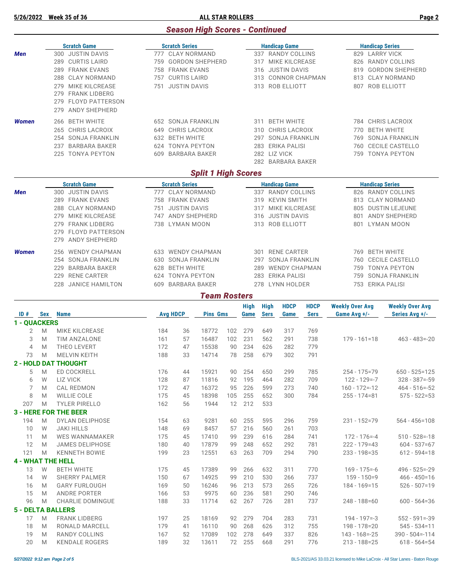**5/26/2022 Week 35 of 36 ALL STAR ROLLERS Page 2**

#### *Season High Scores - Continued*

|                |   | <b>Scratch Game</b>          |     | <b>Scratch Series</b>    |                            |     |                 |             | <b>Handicap Game</b> |             |                        |                                                                                                                                                                                                                                                                                                   | <b>Handicap Series</b> |  |  |  |  |  |  |  |
|----------------|---|------------------------------|-----|--------------------------|----------------------------|-----|-----------------|-------------|----------------------|-------------|------------------------|---------------------------------------------------------------------------------------------------------------------------------------------------------------------------------------------------------------------------------------------------------------------------------------------------|------------------------|--|--|--|--|--|--|--|
| <b>Men</b>     |   | 300 JUSTIN DAVIS             |     | 777 CLAY NORMAND         |                            |     |                 |             | 337 RANDY COLLINS    |             |                        |                                                                                                                                                                                                                                                                                                   | 829 LARRY VICK         |  |  |  |  |  |  |  |
|                |   | 289 CURTIS LAIRD             |     | 759 GORDON SHEPHERD      |                            |     |                 |             | 317 MIKE KILCREASE   |             |                        |                                                                                                                                                                                                                                                                                                   | 826 RANDY COLLINS      |  |  |  |  |  |  |  |
|                |   | 289 FRANK EVANS              |     | 758 FRANK EVANS          |                            |     |                 |             | 316 JUSTIN DAVIS     |             |                        |                                                                                                                                                                                                                                                                                                   | 819 GORDON SHEPHERD    |  |  |  |  |  |  |  |
|                |   | 288 CLAY NORMAND             |     | 757 CURTIS LAIRD         |                            |     |                 |             | 313 CONNOR CHAPMAN   |             |                        |                                                                                                                                                                                                                                                                                                   | 813 CLAY NORMAND       |  |  |  |  |  |  |  |
|                |   | 279 MIKE KILCREASE           |     | 751 JUSTIN DAVIS         |                            |     |                 |             | 313 ROB ELLIOTT      |             |                        |                                                                                                                                                                                                                                                                                                   | 807 ROB ELLIOTT        |  |  |  |  |  |  |  |
|                |   | 279 FRANK LIDBERG            |     |                          |                            |     |                 |             |                      |             |                        |                                                                                                                                                                                                                                                                                                   |                        |  |  |  |  |  |  |  |
|                |   | 279 FLOYD PATTERSON          |     |                          |                            |     |                 |             |                      |             |                        |                                                                                                                                                                                                                                                                                                   |                        |  |  |  |  |  |  |  |
|                |   | <b>ANDY SHEPHERD</b><br>279  |     |                          |                            |     |                 |             |                      |             |                        |                                                                                                                                                                                                                                                                                                   |                        |  |  |  |  |  |  |  |
| <b>Women</b>   |   | 266 BETH WHITE               |     | 652 SONJA FRANKLIN       |                            |     |                 |             | 311 BETH WHITE       |             |                        |                                                                                                                                                                                                                                                                                                   |                        |  |  |  |  |  |  |  |
|                |   | 265 CHRIS LACROIX            |     | 649 CHRIS LACROIX        |                            |     |                 |             | 310 CHRIS LACROIX    |             |                        |                                                                                                                                                                                                                                                                                                   |                        |  |  |  |  |  |  |  |
|                |   | 254 SONJA FRANKLIN           |     | 632 BETH WHITE           |                            |     |                 |             | 297 SONJA FRANKLIN   |             |                        |                                                                                                                                                                                                                                                                                                   |                        |  |  |  |  |  |  |  |
|                |   | 237 BARBARA BAKER            |     | 624 TONYA PEYTON         |                            |     |                 |             | 283 ERIKA PALISI     |             |                        |                                                                                                                                                                                                                                                                                                   |                        |  |  |  |  |  |  |  |
|                |   | 225 TONYA PEYTON             |     | 609 BARBARA BAKER        |                            |     |                 |             | 282 LIZ VICK         |             |                        |                                                                                                                                                                                                                                                                                                   |                        |  |  |  |  |  |  |  |
|                |   |                              |     |                          |                            |     |                 |             | 282 BARBARA BAKER    |             |                        |                                                                                                                                                                                                                                                                                                   |                        |  |  |  |  |  |  |  |
|                |   |                              |     |                          | <b>Split 1 High Scores</b> |     |                 |             |                      |             |                        | 784 CHRIS LACROIX<br>770 BETH WHITE<br>769 SONJA FRANKLIN<br>760 CECILE CASTELLO<br>759 TONYA PEYTON<br><b>Handicap Series</b><br>826 RANDY COLLINS<br>813 CLAY NORMAND<br>805 DUSTIN LEJEUNE<br>801 ANDY SHEPHERD<br>801 LYMAN MOON<br>769 BETH WHITE<br>760 CECILE CASTELLO<br>759 TONYA PEYTON |                        |  |  |  |  |  |  |  |
|                |   | <b>Scratch Game</b>          |     | <b>Scratch Series</b>    |                            |     |                 |             | <b>Handicap Game</b> |             |                        |                                                                                                                                                                                                                                                                                                   |                        |  |  |  |  |  |  |  |
| <b>Men</b>     |   | 300 JUSTIN DAVIS             |     | 777 CLAY NORMAND         |                            |     |                 |             | 337 RANDY COLLINS    |             |                        |                                                                                                                                                                                                                                                                                                   |                        |  |  |  |  |  |  |  |
|                |   | 289 FRANK EVANS              |     | 758 FRANK EVANS          |                            |     |                 |             | 319 KEVIN SMITH      |             |                        |                                                                                                                                                                                                                                                                                                   |                        |  |  |  |  |  |  |  |
|                |   | <b>CLAY NORMAND</b><br>288   | 751 | <b>JUSTIN DAVIS</b>      |                            |     |                 | 317         | MIKE KILCREASE       |             |                        |                                                                                                                                                                                                                                                                                                   |                        |  |  |  |  |  |  |  |
|                |   | 279 MIKE KILCREASE           |     | 747 ANDY SHEPHERD        |                            |     |                 |             | 316 JUSTIN DAVIS     |             |                        |                                                                                                                                                                                                                                                                                                   |                        |  |  |  |  |  |  |  |
|                |   | 279 FRANK LIDBERG            |     | 738 LYMAN MOON           |                            |     |                 |             | 313 ROB ELLIOTT      |             |                        |                                                                                                                                                                                                                                                                                                   |                        |  |  |  |  |  |  |  |
|                |   | 279 FLOYD PATTERSON          |     |                          |                            |     |                 |             |                      |             |                        |                                                                                                                                                                                                                                                                                                   |                        |  |  |  |  |  |  |  |
|                |   | ANDY SHEPHERD<br>279         |     |                          |                            |     |                 |             |                      |             |                        |                                                                                                                                                                                                                                                                                                   |                        |  |  |  |  |  |  |  |
| <b>Women</b>   |   | <b>WENDY CHAPMAN</b><br>256  |     | 633 WENDY CHAPMAN        |                            |     |                 |             | 301 RENE CARTER      |             |                        |                                                                                                                                                                                                                                                                                                   |                        |  |  |  |  |  |  |  |
|                |   | 254 SONJA FRANKLIN           |     | 630 SONJA FRANKLIN       |                            |     |                 |             | 297 SONJA FRANKLIN   |             |                        |                                                                                                                                                                                                                                                                                                   |                        |  |  |  |  |  |  |  |
|                |   | <b>BARBARA BAKER</b><br>229  |     | <b>BETH WHITE</b><br>628 |                            |     |                 |             | <b>WENDY CHAPMAN</b> |             |                        |                                                                                                                                                                                                                                                                                                   |                        |  |  |  |  |  |  |  |
|                |   | 229<br><b>RENE CARTER</b>    |     | 624 TONYA PEYTON         |                            |     |                 |             | 283 ERIKA PALISI     |             |                        | 759 SONJA FRANKLIN                                                                                                                                                                                                                                                                                |                        |  |  |  |  |  |  |  |
|                |   | 228 JANICE HAMILTON          |     | 609 BARBARA BAKER        |                            |     | 278 LYNN HOLDER |             |                      |             | 753 ERIKA PALISI       |                                                                                                                                                                                                                                                                                                   |                        |  |  |  |  |  |  |  |
|                |   |                              |     |                          | <b>Team Rosters</b>        |     |                 |             |                      |             |                        |                                                                                                                                                                                                                                                                                                   |                        |  |  |  |  |  |  |  |
|                |   |                              |     |                          |                            |     | <b>High</b>     | <b>High</b> | <b>HDCP</b>          | <b>HDCP</b> | <b>Weekly Over Avg</b> |                                                                                                                                                                                                                                                                                                   | <b>Weekly Over Avg</b> |  |  |  |  |  |  |  |
|                |   | ID # Sex Name                |     | <b>Avg HDCP</b>          | <b>Pins Gms</b>            |     | Game            | <b>Sers</b> | Game                 | <b>Sers</b> | Game Avg +/-           |                                                                                                                                                                                                                                                                                                   | Series Avg +/-         |  |  |  |  |  |  |  |
| 1 - QUACKERS   |   |                              |     |                          |                            |     |                 |             |                      |             |                        |                                                                                                                                                                                                                                                                                                   |                        |  |  |  |  |  |  |  |
| 2              | M | <b>MIKE KILCREASE</b>        | 184 | 36                       | 18772                      | 102 | 279             | 649         | 317                  | 769         |                        |                                                                                                                                                                                                                                                                                                   |                        |  |  |  |  |  |  |  |
| 3              | M | TIM ANZALONE                 | 161 | 57                       | 16487                      | 102 | 231             | 562         | 291                  | 738         | $179 - 161 = 18$       |                                                                                                                                                                                                                                                                                                   | $463 - 483 = -20$      |  |  |  |  |  |  |  |
| $\overline{4}$ | M | THEO LEVERT                  | 172 | 47                       | 15538                      | 90  | 234             | 626         | 282                  | 779         |                        |                                                                                                                                                                                                                                                                                                   |                        |  |  |  |  |  |  |  |
| 73             | M | <b>MELVIN KEITH</b>          | 188 | 33                       | 14714                      | 78  | 258             | 679         | 302                  | 791         |                        |                                                                                                                                                                                                                                                                                                   |                        |  |  |  |  |  |  |  |
|                |   | <b>2 - HOLD DAT THOUGHT</b>  |     |                          |                            |     |                 |             |                      |             |                        |                                                                                                                                                                                                                                                                                                   |                        |  |  |  |  |  |  |  |
| 5              | M | <b>ED COCKRELL</b>           | 176 | 44                       | 15921                      | 90  | 254             | 650         | 299                  | 785         | $254 - 175 = 79$       |                                                                                                                                                                                                                                                                                                   | $650 - 525 = 125$      |  |  |  |  |  |  |  |
| 6              | W | <b>LIZ VICK</b>              | 128 | 87                       | 11816                      | 92  | 195             | 464         | 282                  | 709         | $122 - 129 = -7$       |                                                                                                                                                                                                                                                                                                   | $328 - 387 = -59$      |  |  |  |  |  |  |  |
| 7              | M | <b>CAL REDMON</b>            | 172 | 47                       | 16372                      | 95  | 226             | 599         | 273                  | 740         | $160 - 172 = -12$      |                                                                                                                                                                                                                                                                                                   | $464 - 516 = -52$      |  |  |  |  |  |  |  |
| 8              | M | <b>WILLIE COLE</b>           | 175 | 45                       | 18398                      | 105 | 255             | 652         | 300                  | 784         | $255 - 174 = 81$       |                                                                                                                                                                                                                                                                                                   | $575 - 522 = 53$       |  |  |  |  |  |  |  |
| 207            | M | <b>TYLER PIRELLO</b>         | 162 | 56                       | 1944                       | 12  | 212             | 533         |                      |             |                        |                                                                                                                                                                                                                                                                                                   |                        |  |  |  |  |  |  |  |
|                |   | <b>3 - HERE FOR THE BEER</b> |     |                          |                            |     |                 |             |                      |             |                        |                                                                                                                                                                                                                                                                                                   |                        |  |  |  |  |  |  |  |

194 M DYLAN DELIPHOSE 154 63 9281 60 255 595 296 759 231 - 152=79 564 - 456=108<br>10 W JAKI HILLS 148 69 8457 57 216 560 261 703 148 69 8457 57 216 560 261<br>175 45 17410 99 239 616 284

| 11  | M | WES WANNAMAKER           | 175 | 45 | 17410 | 99  | 239 | 616 | 284 | 741 | $172 - 176 = -4$  | $510 - 528 = -18$  |
|-----|---|--------------------------|-----|----|-------|-----|-----|-----|-----|-----|-------------------|--------------------|
| 12  | M | <b>JAMES DELIPHOSE</b>   | 180 | 40 | 17879 | 99  | 248 | 652 | 292 | 781 | $222 - 179 = 43$  | $604 - 537 = 67$   |
| 121 | M | <b>KENNETH BOWIE</b>     | 199 | 23 | 12551 | 63  | 263 | 709 | 294 | 790 | $233 - 198 = 35$  | $612 - 594 = 18$   |
|     |   | <b>4 - WHAT THE HELL</b> |     |    |       |     |     |     |     |     |                   |                    |
| 13  | W | <b>BETH WHITE</b>        | 175 | 45 | 17389 | 99  | 266 | 632 | 311 | 770 | $169 - 175 = -6$  | $496 - 525 = -29$  |
| 14  | W | <b>SHERRY PALMER</b>     | 150 | 67 | 14925 | 99  | 210 | 530 | 266 | 737 | $159 - 150 = 9$   | $466 - 450 = 16$   |
| 16  | M | <b>GARY FURLOUGH</b>     | 169 | 50 | 16246 | 96  | 213 | 573 | 265 | 726 | $184 - 169 = 15$  | $526 - 507 = 19$   |
| 15  | M | <b>ANDRE PORTER</b>      | 166 | 53 | 9975  | 60  | 236 | 581 | 290 | 746 |                   |                    |
| 96  | M | CHARLIE DOMINGUE         | 188 | 33 | 11714 | 62  | 267 | 726 | 281 | 737 | $248 - 188 = 60$  | $600 - 564 = 36$   |
|     |   | <b>5 - DELTA BALLERS</b> |     |    |       |     |     |     |     |     |                   |                    |
| 17  | M | <b>FRANK LIDBERG</b>     | 197 | 25 | 18169 | 92  | 279 | 704 | 283 | 731 | $194 - 197 = -3$  | $552 - 591 = -39$  |
| 18  | M | RONALD MARCELL           | 179 | 41 | 16110 | 90  | 268 | 626 | 312 | 755 | $198 - 178 = 20$  | $545 - 534 = 11$   |
| 19  | M | RANDY COLLINS            | 167 | 52 | 17089 | 102 | 278 | 649 | 337 | 826 | $143 - 168 = -25$ | $390 - 504 = -114$ |
| 20  | M | <b>KENDALE ROGERS</b>    | 189 | 32 | 13611 | 72  | 255 | 668 | 291 | 776 | $213 - 188 = 25$  | $618 - 564 = 54$   |
|     |   |                          |     |    |       |     |     |     |     |     |                   |                    |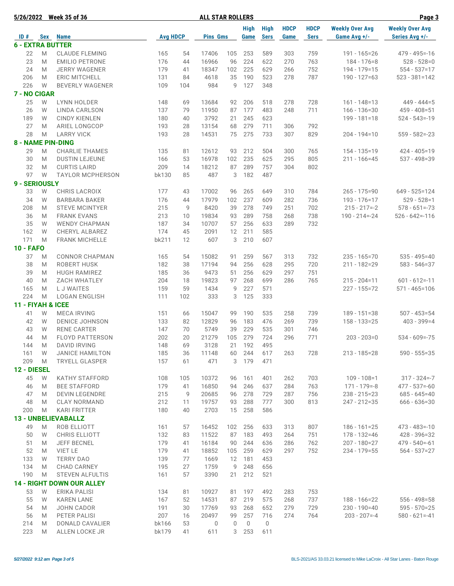| 5/26/2022                |   | <b>Week 35 of 36</b>             |                 |     | <b>ALL STAR ROLLERS</b> |     |                     |                            |                     |                            |                                        | Page 3                                   |
|--------------------------|---|----------------------------------|-----------------|-----|-------------------------|-----|---------------------|----------------------------|---------------------|----------------------------|----------------------------------------|------------------------------------------|
| ID#                      |   | <b>Sex Name</b>                  | <b>Avg HDCP</b> |     | <b>Pins Gms</b>         |     | High<br><b>Game</b> | <b>High</b><br><b>Sers</b> | <b>HDCP</b><br>Game | <b>HDCP</b><br><b>Sers</b> | <b>Weekly Over Avg</b><br>Game Avg +/- | <b>Weekly Over Avg</b><br>Series Avg +/- |
| <b>6 - EXTRA BUTTER</b>  |   |                                  |                 |     |                         |     |                     |                            |                     |                            |                                        |                                          |
| 22                       | M | <b>CLAUDE FLEMING</b>            | 165             | 54  | 17406                   | 105 | 253                 | 589                        | 303                 | 759                        | 191 - 165=26                           | $479 - 495 = -16$                        |
| 23                       | M | <b>EMILIO PETRONE</b>            | 176             | 44  | 16966                   | 96  | 224                 | 622                        | 270                 | 763                        | $184 - 176 = 8$                        | $528 - 528 = 0$                          |
| 24                       | M | <b>JERRY WAGENER</b>             | 179             | 41  | 18347                   | 102 | 225                 | 629                        | 266                 | 752                        | 194 - 179 = 15                         | $554 - 537 = 17$                         |
| 206                      | M | <b>ERIC MITCHELL</b>             | 131             | 84  | 4618                    | 35  | 190                 | 523                        | 278                 | 787                        | $190 - 127 = 63$                       | $523 - 381 = 142$                        |
| 226                      | W | <b>BEVERLY WAGENER</b>           | 109             | 104 | 984                     | 9   | 127                 | 348                        |                     |                            |                                        |                                          |
| 7 - NO CIGAR             |   |                                  |                 |     |                         |     |                     |                            |                     |                            |                                        |                                          |
| 25                       | W | LYNN HOLDER                      | 148             | 69  | 13684                   | 92  | 206                 | 518                        | 278                 | 728                        | $161 - 148 = 13$                       | $449 - 444 = 5$                          |
| 26                       | W | LINDA CARLSON                    | 137             | 79  | 11950                   | 87  | 177                 | 483                        | 248                 | 711                        | $166 - 136 = 30$                       | $459 - 408 = 51$                         |
| 189                      | W | <b>CINDY KIENLEN</b>             | 180             | 40  | 3792                    | 21  | 245                 | 623                        |                     |                            | $199 - 181 = 18$                       | $524 - 543 = -19$                        |
| 27                       | M | ARIEL LONGCOP                    | 193             | 28  | 13154                   | 68  | 279                 | 711                        | 306                 | 792                        |                                        |                                          |
| 28                       | M | <b>LARRY VICK</b>                | 193             | 28  | 14531                   | 75  | 275                 | 733                        | 307                 | 829                        | $204 - 194 = 10$                       | $559 - 582 = -23$                        |
| <b>8 - NAME PIN-DING</b> |   |                                  |                 |     |                         |     |                     |                            |                     |                            |                                        |                                          |
| 29                       | M | <b>CHARLIE THAMES</b>            | 135             | 81  | 12612                   | 93  | 212                 | 504                        | 300                 | 765                        | $154 - 135 = 19$                       | $424 - 405 = 19$                         |
| 30                       | M | <b>DUSTIN LEJEUNE</b>            | 166             | 53  | 16978                   | 102 | 235                 | 625                        | 295                 | 805                        | $211 - 166 = 45$                       | 537 - 498=39                             |
| 32                       | M | <b>CURTIS LAIRD</b>              | 209             | 14  | 18212                   | 87  | 289                 | 757                        | 304                 | 802                        |                                        |                                          |
| 97                       | W | <b>TAYLOR MCPHERSON</b>          | bk130           | 85  | 487                     | 3   | 182                 | 487                        |                     |                            |                                        |                                          |
| 9 - SERIOUSLY            |   |                                  |                 |     |                         |     |                     |                            |                     |                            |                                        |                                          |
| 33                       | W | CHRIS LACROIX                    | 177             | 43  | 17002                   | 96  | 265                 | 649                        | 310                 | 784                        | $265 - 175 = 90$                       | $649 - 525 = 124$                        |
| 34                       | W | <b>BARBARA BAKER</b>             | 176             | 44  | 17979                   | 102 | 237                 | 609                        | 282                 | 736                        | $193 - 176 = 17$                       | $529 - 528 = 1$                          |
| 208                      | M | <b>STEVE MCINTYER</b>            | 215             | 9   | 8420                    | 39  | 278                 | 749                        | 251                 | 702                        | $215 - 217 = -2$                       | $578 - 651 = -73$                        |
| 36                       | M | <b>FRANK EVANS</b>               | 213             | 10  | 19834                   | 93  | 289                 | 758                        | 268                 | 738                        | 190 - 214 = - 24                       | $526 - 642 = -116$                       |
| 35                       | W | <b>WENDY CHAPMAN</b>             | 187             | 34  | 10707                   | 57  | 256                 | 633                        | 289                 | 732                        |                                        |                                          |
| 162                      | W | CHERYL ALBAREZ                   | 174             | 45  | 2091                    | 12  | 211                 | 585                        |                     |                            |                                        |                                          |
| 171                      | M | <b>FRANK MICHELLE</b>            | bk211           | 12  | 607                     | 3   | 210                 | 607                        |                     |                            |                                        |                                          |
| <b>10 - FAFO</b>         |   |                                  |                 |     |                         |     |                     |                            |                     |                            |                                        |                                          |
| 37                       | M | <b>CONNOR CHAPMAN</b>            | 165             | 54  | 15082                   | 91  | 259                 | 567                        | 313                 | 732                        | $235 - 165 = 70$                       | $535 - 495 = 40$                         |
| 38                       | M | ROBERT HUSK                      | 182             | 38  | 17194                   | 94  | 256                 | 628                        | 295                 | 720                        | 211 - 182=29                           | $583 - 546 = 37$                         |
| 39                       | M | <b>HUGH RAMIREZ</b>              | 185             | 36  | 9473                    | 51  | 256                 | 629                        | 297                 | 751                        |                                        |                                          |
| 40                       | M | <b>ZACH WHATLEY</b>              | 204             | 18  | 19823                   | 97  | 268                 | 699                        | 286                 | 765                        | $215 - 204 = 11$                       | $601 - 612 = -11$                        |
| 165                      | M | L J WAITES                       | 159             | 59  | 1434                    | 9   | 227                 | 571                        |                     |                            | 227 - 155=72                           | $571 - 465 = 106$                        |
| 224                      | M | <b>LOGAN ENGLISH</b>             | 111             | 102 | 333                     | 3   | 125                 | 333                        |                     |                            |                                        |                                          |
| 11 - FIYAH & ICEE        |   |                                  |                 |     |                         |     |                     |                            |                     |                            |                                        |                                          |
| 41                       | W | <b>MECA IRVING</b>               | 151             | 66  | 15047                   | 99  | 190                 | 535                        | 258                 | 739                        | $189 - 151 = 38$                       | $507 - 453 = 54$                         |
| 42                       | W | <b>DENICE JOHNSON</b>            | 133             | 82  | 12829                   | 96  | 183                 | 476                        | 269                 | 739                        | $158 - 133 = 25$                       | $403 - 399 = 4$                          |
| 43                       | W | <b>RENE CARTER</b>               | 147             | 70  | 5749                    | 39  | 229                 | 535                        | 301                 | 746                        |                                        |                                          |
| 44                       | M | <b>FLOYD PATTERSON</b>           | 202             | 20  | 21279                   | 105 | 279                 | 724                        | 296                 | 771                        | $203 - 203 = 0$                        | $534 - 609 = -75$                        |
| 144                      | M | <b>DAVID IRVING</b>              | 148             | 69  | 3128                    | 21  | 192                 | 495                        |                     |                            |                                        |                                          |
| 161                      | W | <b>JANICE HAMILTON</b>           | 185             | 36  | 11148                   | 60  | 244                 | 617                        | 263                 | 728                        | $213 - 185 = 28$                       | $590 - 555 = 35$                         |
| 209                      | M | <b>TRYELL GLASPER</b>            | 157             | 61  | 471                     | 3   | 179                 | 471                        |                     |                            |                                        |                                          |
| 12 - DIESEL              |   |                                  |                 |     |                         |     |                     |                            |                     |                            |                                        |                                          |
| 45                       | W | <b>KATHY STAFFORD</b>            | 108             | 105 | 10372                   | 96  | 161                 | 401                        | 262                 | 703                        | $109 - 108 = 1$                        | $317 - 324 = -7$                         |
| 46                       | M | <b>BEE STAFFORD</b>              | 179             | 41  | 16850                   | 94  | 246                 | 637                        | 284                 | 763                        | $171 - 179 = -8$                       | $477 - 537 = -60$                        |
| 47                       | M | <b>DEVIN LEGENDRE</b>            | 215             | 9   | 20685                   | 96  | 278                 | 729                        | 287                 | 756                        | $238 - 215 = 23$                       | $685 - 645 = 40$                         |
| 48                       | M | <b>CLAY NORMAND</b>              | 212             | 11  | 19757                   | 93  | 288                 | 777                        | 300                 | 813                        | 247 - 212=35                           | $666 - 636 = 30$                         |
| 200                      | M | <b>KARI FRITTER</b>              | 180             | 40  | 2703                    | 15  | 258                 | 586                        |                     |                            |                                        |                                          |
|                          |   | <b>13 - UNBELIEVABALLZ</b>       |                 |     |                         |     |                     |                            |                     |                            |                                        |                                          |
| 49                       | M | ROB ELLIOTT                      | 161             | 57  | 16452                   | 102 | 256                 | 633                        | 313                 | 807                        | $186 - 161 = 25$                       | $473 - 483 = -10$                        |
| 50                       | W | <b>CHRIS ELLIOTT</b>             | 132             | 83  | 11522                   | 87  | 183                 | 493                        | 264                 | 751                        | 178 - 132=46                           | 428 - 396 = 32                           |
| 51                       | M | <b>JEFF BECNEL</b>               | 179             | 41  | 16184                   | 90  | 244                 | 636                        | 286                 | 762                        | 207 - 180=27                           | $479 - 540 = -61$                        |
| 52                       | M | VIET LE                          | 179             | 41  | 18852                   | 105 | 259                 | 629                        | 297                 | 752                        | 234 - 179=55                           | $564 - 537 = 27$                         |
| 133                      | W | <b>TERRY DAO</b>                 | 139             | 77  | 1669                    | 12  | 181                 | 453                        |                     |                            |                                        |                                          |
| 134                      | M | <b>CHAD CARNEY</b>               | 195             | 27  | 1759                    | 9   | 248                 | 656                        |                     |                            |                                        |                                          |
| 190                      | M | <b>STEVEN ALFULTIS</b>           | 161             | 57  | 3390                    | 21  | 212                 | 521                        |                     |                            |                                        |                                          |
|                          |   | <b>14 - RIGHT DOWN OUR ALLEY</b> |                 |     |                         |     |                     |                            |                     |                            |                                        |                                          |
| 53                       | W | ERIKA PALISI                     | 134             | 81  | 10927                   |     | 81 197              | 492                        | 283                 | 753                        |                                        |                                          |
| 55                       | W | <b>KAREN LANE</b>                | 167             | 52  | 14531                   | 87  | 219                 | 575                        | 268                 | 737                        | 188 - 166=22                           | $556 - 498 = 58$                         |
| 54                       | M | JOHN CADOR                       | 191             | 30  | 17769                   | 93  | 268                 | 652                        | 279                 | 729                        | $230 - 190 = 40$                       | $595 - 570 = 25$                         |
| 56                       | M | PETER PALISI                     | 207             | 16  | 20497                   | 99  | 257                 | 716                        | 274                 | 764                        | $203 - 207 = -4$                       | $580 - 621 = -41$                        |
| 214                      | M | DONALD CAVALIER                  | bk166           | 53  | 0                       | 0   | $\overline{0}$      | $\mathbf 0$                |                     |                            |                                        |                                          |
| 223                      | M | ALLEN LOCKE JR                   | bk179           | 41  | 611                     |     | 3 253               | 611                        |                     |                            |                                        |                                          |
|                          |   |                                  |                 |     |                         |     |                     |                            |                     |                            |                                        |                                          |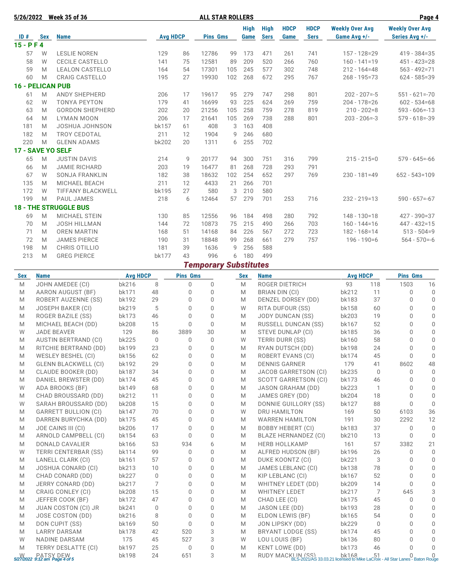| 5/26/2022               |     | <b>Week 35 of 36</b>         |                 |    | <b>ALL STAR ROLLERS</b> |     |                     |                            |                     |                            |                                        | Page 4                                   |
|-------------------------|-----|------------------------------|-----------------|----|-------------------------|-----|---------------------|----------------------------|---------------------|----------------------------|----------------------------------------|------------------------------------------|
| ID#                     | Sex | <b>Name</b>                  | <b>Avg HDCP</b> |    | <b>Pins Gms</b>         |     | <b>High</b><br>Game | <b>High</b><br><b>Sers</b> | <b>HDCP</b><br>Game | <b>HDCP</b><br><b>Sers</b> | <b>Weekly Over Avg</b><br>Game Avg +/- | <b>Weekly Over Avg</b><br>Series Avg +/- |
| $15 - P F 4$            |     |                              |                 |    |                         |     |                     |                            |                     |                            |                                        |                                          |
| 57                      | W   | <b>LESLIE NOREN</b>          | 129             | 86 | 12786                   | 99  | 173                 | 471                        | 261                 | 741                        | $157 - 128 = 29$                       | $419 - 384 = 35$                         |
| 58                      | W   | <b>CECILE CASTELLO</b>       | 141             | 75 | 12581                   | 89  | 209                 | 520                        | 266                 | 760                        | $160 - 141 = 19$                       | $451 - 423 = 28$                         |
| 59                      | M   | <b>LEALON CASTELLO</b>       | 164             | 54 | 17301                   | 105 | 245                 | 577                        | 302                 | 748                        | $212 - 164 = 48$                       | $563 - 492 = 71$                         |
| 60                      | M   | <b>CRAIG CASTELLO</b>        | 195             | 27 | 19930                   | 102 | 268                 | 672                        | 295                 | 767                        | $268 - 195 = 73$                       | $624 - 585 = 39$                         |
| <b>16 - PELICAN PUB</b> |     |                              |                 |    |                         |     |                     |                            |                     |                            |                                        |                                          |
| 61                      | M   | <b>ANDY SHEPHERD</b>         | 206             | 17 | 19617                   | 95  | 279                 | 747                        | 298                 | 801                        | $202 - 207 = -5$                       | $551 - 621 = -70$                        |
| 62                      | W   | <b>TONYA PEYTON</b>          | 179             | 41 | 16699                   | 93  | 225                 | 624                        | 269                 | 759                        | $204 - 178 = 26$                       | $602 - 534 = 68$                         |
| 63                      | M   | <b>GORDON SHEPHERD</b>       | 202             | 20 | 21256                   | 105 | 258                 | 759                        | 278                 | 819                        | $210 - 202 = 8$                        | $593 - 606 = -13$                        |
| 64                      | M   | <b>LYMAN MOON</b>            | 206             | 17 | 21641                   | 105 | 269                 | 738                        | 288                 | 801                        | $203 - 206 = -3$                       | $579 - 618 = -39$                        |
| 181                     | M   | JOSHUA JOHNSON               | bk157           | 61 | 408                     | 3   | 163                 | 408                        |                     |                            |                                        |                                          |
| 182                     | M   | <b>TROY CEDOTAL</b>          | 211             | 12 | 1904                    | 9   | 246                 | 680                        |                     |                            |                                        |                                          |
| 220                     | M   | <b>GLENN ADAMS</b>           | bk202           | 20 | 1311                    | 6   | 255                 | 702                        |                     |                            |                                        |                                          |
| 17 - SAVE YO SELF       |     |                              |                 |    |                         |     |                     |                            |                     |                            |                                        |                                          |
| 65                      | M   | <b>JUSTIN DAVIS</b>          | 214             | 9  | 20177                   | 94  | 300                 | 751                        | 316                 | 799                        | $215 - 215 = 0$                        | $579 - 645 = -66$                        |
| 66                      | M   | <b>JAMIE RICHARD</b>         | 203             | 19 | 16477                   | 81  | 268                 | 728                        | 293                 | 791                        |                                        |                                          |
| 67                      | W   | <b>SONJA FRANKLIN</b>        | 182             | 38 | 18632                   | 102 | 254                 | 652                        | 297                 | 769                        | $230 - 181 = 49$                       | $652 - 543 = 109$                        |
| 135                     | M   | <b>MICHAEL BEACH</b>         | 211             | 12 | 4433                    | 21  | 266                 | 701                        |                     |                            |                                        |                                          |
| 172                     | W   | <b>TIFFANY BLACKWELL</b>     | bk195           | 27 | 580                     | 3   | 210                 | 580                        |                     |                            |                                        |                                          |
| 199                     | M   | <b>PAUL JAMES</b>            | 218             | 6  | 12464                   | 57  | 279                 | 701                        | 253                 | 716                        | $232 - 219 = 13$                       | $590 - 657 = -67$                        |
|                         |     | <b>18 - THE STRUGGLE BUS</b> |                 |    |                         |     |                     |                            |                     |                            |                                        |                                          |
| 69                      | M   | <b>MICHAEL STEIN</b>         | 130             | 85 | 12556                   | 96  | 184                 | 498                        | 280                 | 792                        | $148 - 130 = 18$                       | $427 - 390 = 37$                         |
| 70                      | M   | <b>JOSH HILLMAN</b>          | 144             | 72 | 10873                   | 75  | 215                 | 490                        | 266                 | 703                        | $160 - 144 = 16$                       | $447 - 432 = 15$                         |
| 71                      | M   | <b>OREN MARTIN</b>           | 168             | 51 | 14168                   | 84  | 226                 | 567                        | 272                 | 723                        | $182 - 168 = 14$                       | $513 - 504 = 9$                          |
| 72                      | M   | <b>JAMES PIERCE</b>          | 190             | 31 | 18848                   | 99  | 268                 | 661                        | 279                 | 757                        | $196 - 190 = 6$                        | $564 - 570 = -6$                         |
| 198                     | M   | CHRIS OTILLIO                | 181             | 39 | 1636                    | 9   | 256                 | 588                        |                     |                            |                                        |                                          |
| 213                     | M   | <b>GREG PIERCE</b>           | <b>bk177</b>    | 43 | 996                     | 6   | 180                 | 499                        |                     |                            |                                        |                                          |

|  | <b>Temporary Substitutes</b> |
|--|------------------------------|
|--|------------------------------|

| <b>Sex</b> | <b>Name</b>                   | <b>Avg HDCP</b> |             | <b>Pins Gms</b> |          | <b>Sex</b> | <b>Name</b>                 | <b>Avg HDCP</b> |              | <b>Pins Gms</b> |              |
|------------|-------------------------------|-----------------|-------------|-----------------|----------|------------|-----------------------------|-----------------|--------------|-----------------|--------------|
| M          | JOHN AMEDEE (CI)              | bk216           | 8           | $\Omega$        | $\Omega$ | M          | <b>ROGER DIETRICH</b>       | 93              | 118          | 1503            | 16           |
| M          | AARON AUGUST (BF)             | bk171           | 48          | 0               | $\Omega$ | M          | BRIAN DIN (CI)              | bk212           | 11           | $\Omega$        | $\mathbf 0$  |
| M          | ROBERT AUZENNE (SS)           | bk192           | 29          | $\Omega$        | $\Omega$ | M          | DENZEL DORSEY (DD)          | bk183           | 37           | $\Omega$        | $\Omega$     |
| M          | <b>JOSEPH BAKER (CI)</b>      | bk219           | 5           | $\Omega$        | $\Omega$ | W          | RITA DUFOUR (SS)            | bk158           | 60           | $\Omega$        | $\mathbf 0$  |
| M          | ROGER BAZILE (SS)             | bk173           | 46          | $\Omega$        | $\Omega$ | M          | <b>JODY DUNCAN (SS)</b>     | bk203           | 19           | $\Omega$        | $\mathbf 0$  |
| M          | MICHAEL BEACH (DD)            | <b>bk208</b>    | 15          | $\Omega$        | $\Omega$ | M          | <b>RUSSELL DUNCAN (SS)</b>  | bk167           | 52           | $\Omega$        | $\mathbf 0$  |
| W          | <b>JADE BEAVER</b>            | 129             | 86          | 3889            | 30       | M          | STEVE DUNLAP (CI)           | bk185           | 36           | $\Omega$        | $\mathbf 0$  |
| M          | <b>AUSTIN BERTRAND (CI)</b>   | <b>bk225</b>    | $\mathbf 0$ | 0               | $\Omega$ | W          | <b>TERRI DURR (SS)</b>      | bk160           | 58           | $\Omega$        | $\mathbf 0$  |
| M          | RITCHIE BERTRAND (DD)         | bk199           | 23          | 0               | 0        | M          | RYAN DUTSCH (DD)            | <b>bk198</b>    | 24           | 0               | $\mathbf 0$  |
| M          | WESLEY BESHEL (CI)            | bk156           | 62          | $\Omega$        | $\Omega$ | M          | ROBERT EVANS (CI)           | bk174           | 45           | $\Omega$        | $\Omega$     |
| M          | <b>GLENN BLACKWELL (CI)</b>   | bk192           | 29          | $\Omega$        | 0        | M          | <b>DENNIS GARNER</b>        | 179             | 41           | 8602            | 48           |
| M          | <b>CLAUDE BOOKER (DD)</b>     | bk187           | 34          | 0               | 0        | M          | <b>JACOB GARRETSON (CI)</b> | bk235           | $\mathbf{0}$ | 0               | $\mathbf{0}$ |
| M          | DANIEL BREWSTER (DD)          | bk174           | 45          | $\Omega$        | $\Omega$ | M          | SCOTT GARRETSON (CI)        | bk173           | 46           | $\Omega$        | $\Omega$     |
| W          | ADA BROOKS (BF)               | bk149           | 68          | 0               | 0        | M          | <b>JASON GRAHAM (DD)</b>    | <b>bk223</b>    | $\mathbf{1}$ | 0               | $\mathbf 0$  |
| M          | CHAD BROUSSARD (DD)           | bk212           | 11          | 0               | 0        | M          | JAMES GREY (DD)             | bk204           | 18           | $\overline{0}$  | $\mathbf 0$  |
| W          | SARAH BROUSSARD (DD)          | <b>bk208</b>    | 15          | $\Omega$        | $\Omega$ | M          | DONNIE GUILLORY (SS)        | bk127           | 88           | $\Omega$        | $\Omega$     |
| M          | <b>GARRETT BULLION (CI)</b>   | bk147           | 70          | $\Omega$        | $\Omega$ | W          | <b>DRU HAMILTON</b>         | 169             | 50           | 6103            | 36           |
| M          | DARREN BURYCHKA (DD)          | bk175           | 45          | $\Omega$        | $\Omega$ | M          | <b>WARREN HAMILTON</b>      | 191             | 30           | 2292            | 12           |
| M          | JOE CAINS III (CI)            | bk206           | 17          | 0               | $\Omega$ | M          | <b>BOBBY HEBERT (CI)</b>    | bk183           | 37           | $\Omega$        | $\Omega$     |
| M          | ARNOLD CAMPBELL (CI)          | bk154           | 63          | $\Omega$        | $\Omega$ | M          | BLAZE HERNANDEZ (CI)        | bk210           | 13           | $\Omega$        | $\Omega$     |
| M          | DONALD CAVALIER               | bk166           | 53          | 934             | 6        | M          | <b>HERB HOLLKAMP</b>        | 161             | 57           | 3382            | 21           |
| W          | <b>TERRI CENTERBAR (SS)</b>   | <b>bk114</b>    | 99          | 0               | 0        | M          | ALFRED HUDSON (BF)          | bk196           | 26           | 0               | $\Omega$     |
| M          | LANELL CLARK (CI)             | bk161           | 57          | 0               | 0        | M          | DUKE KOONTZ (CI)            | bk221           | 3            | $\Omega$        | $\mathbf 0$  |
| M          | <b>JOSHUA CONARD (CI)</b>     | bk213           | 10          | 0               | 0        | M          | JAMES LEBLANC (CI)          | <b>bk138</b>    | 78           | $\Omega$        | $\mathbb O$  |
| M          | CHAD CONARD (DD)              | bk227           | 0           | 0               | 0        | M          | KIP LEBLANC (CI)            | bk167           | 52           | $\Omega$        | $\mathbf 0$  |
| M          | JERRY CONARD (DD)             | bk217           | 7           | $\Omega$        | $\Omega$ | M          | WHITNEY LEDET (DD)          | bk209           | 14           | $\cap$          | $\mathbf 0$  |
| M          | CRAIG CONLEY (CI)             | <b>bk208</b>    | 15          | $\Omega$        | $\Omega$ | M          | <b>WHITNEY LEDET</b>        | bk217           | 7            | 645             | 3            |
| M          | JEFFER COOK (BF)              | bk172           | 47          | $\Omega$        | $\Omega$ | M          | CHAD LEE (CI)               | bk175           | 45           | $\Omega$        | $\mathbf 0$  |
| M          | <b>JUAN COSTON (CI) JR</b>    | bk241           | 0           | 0               | $\Omega$ | M          | JASON LEE (DD)              | bk193           | 28           | 0               | $\mathbf 0$  |
| M          | JOSE COSTON (DD)              | bk216           | 8           | $\Omega$        | $\Omega$ | M          | ELDON LEWIS (BF)            | bk165           | 54           | $\Omega$        | $\mathbf 0$  |
| M          | DON CUPIT (SS)                | bk169           | 50          | 0               | 0        | M          | JON LIPSKY (DD)             | bk229           | $\mathbf{0}$ | $\Omega$        | $\mathbf 0$  |
| M          | <b>LARRY DARSAM</b>           | bk178           | 42          | 520             | 3        | M          | <b>BRYANT LODGE (SS)</b>    | bk174           | 45           | $\Omega$        | $\Omega$     |
| W          | NADINE DARSAM                 | 175             | 45          | 527             | 3        | W          | LOU LOUIS (BF)              | bk136           | 80           | $\Omega$        | $\Omega$     |
| M          | <b>TERRY DESLATTE (CI)</b>    | bk197           | 25          | $\Omega$        | $\Omega$ | M          | <b>KENT LOWE (DD)</b>       | bk173           | 46           | $\cap$          | $\Omega$     |
|            | 5/27/2022 9:12 am Page 4 of 5 | bk198           | 24          | 651             | 3        | M          |                             |                 |              |                 |              |